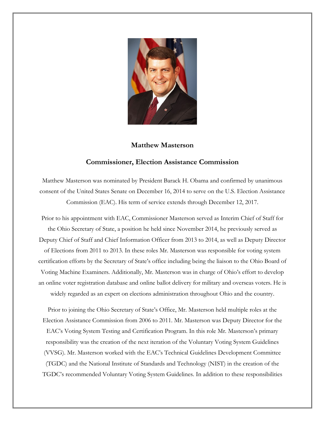

## **Matthew Masterson**

## **Commissioner, Election Assistance Commission**

Matthew Masterson was nominated by President Barack H. Obama and confirmed by unanimous consent of the United States Senate on December 16, 2014 to serve on the U.S. Election Assistance Commission (EAC). His term of service extends through December 12, 2017.

Prior to his appointment with EAC, Commissioner Masterson served as Interim Chief of Staff for the Ohio Secretary of State, a position he held since November 2014, he previously served as Deputy Chief of Staff and Chief Information Officer from 2013 to 2014, as well as Deputy Director of Elections from 2011 to 2013. In these roles Mr. Masterson was responsible for voting system certification efforts by the Secretary of State's office including being the liaison to the Ohio Board of Voting Machine Examiners. Additionally, Mr. Masterson was in charge of Ohio's effort to develop an online voter registration database and online ballot delivery for military and overseas voters. He is widely regarded as an expert on elections administration throughout Ohio and the country.

Prior to joining the Ohio Secretary of State's Office, Mr. Masterson held multiple roles at the Election Assistance Commission from 2006 to 2011. Mr. Masterson was Deputy Director for the EAC's Voting System Testing and Certification Program. In this role Mr. Masterson's primary responsibility was the creation of the next iteration of the Voluntary Voting System Guidelines (VVSG). Mr. Masterson worked with the EAC's Technical Guidelines Development Committee (TGDC) and the National Institute of Standards and Technology (NIST) in the creation of the TGDC's recommended Voluntary Voting System Guidelines. In addition to these responsibilities